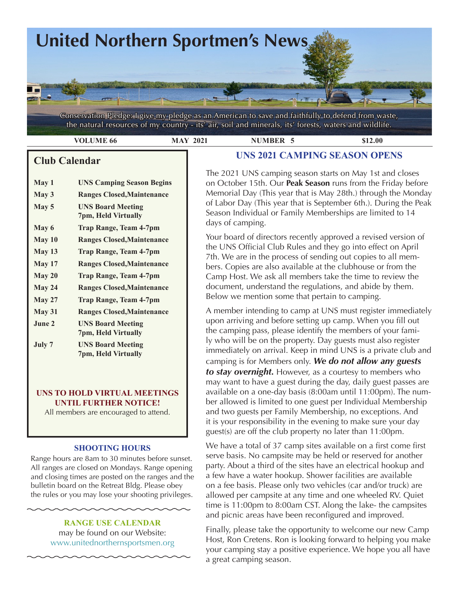

Conservation Pledge: I give my pledge as an American to save and faithfully to defend from waste, the natural resources of my country - its' air, soil and minerals, its' forests, waters and wildlife.

| Y 00 | 2021 | <b>JMBER</b>                          | 2.00 |
|------|------|---------------------------------------|------|
|      |      | FIXED ACAL CLUB FRESTO OF LOOPT ORDER |      |

# **Club Calendar**

- **May 1 UNS Camping Season Begins**
- **May 3 Ranges Closed,Maintenance**
- **May 5 UNS Board Meeting 7pm, Held Virtually May 6 Trap Range, Team 4-7pm**
- **May 10 Ranges Closed,Maintenance**
- **May 13 Trap Range, Team 4-7pm**
- **May 17 Ranges Closed,Maintenance**
- **May 20 Trap Range, Team 4-7pm**
- **May 24 Ranges Closed,Maintenance**
- **May 27 Trap Range, Team 4-7pm**
- **May 31 Ranges Closed,Maintenance**
- **June 2 UNS Board Meeting 7pm, Held Virtually July 7 UNS Board Meeting**
- **7pm, Held Virtually**

### **UNS TO HOLD VIRTUAL MEETINGS UNTIL FURTHER NOTICE!**

All members are encouraged to attend.

### **SHOOTING HOURS**

Range hours are 8am to 30 minutes before sunset. All ranges are closed on Mondays. Range opening and closing times are posted on the ranges and the bulletin board on the Retreat Bldg. Please obey the rules or you may lose your shooting privileges.

> **RANGE USE CALENDAR**  may be found on our Website: [www.unitednorthernsportsmen.org](http://www.unitednorthernsportsmen.org)

# **UNS 2021 CAMPING SEASON OPENS**

The 2021 UNS camping season starts on May 1st and closes on October 15th. Our **Peak Season** runs from the Friday before Memorial Day (This year that is May 28th.) through the Monday of Labor Day (This year that is September 6th.). During the Peak Season Individual or Family Memberships are limited to 14 days of camping.

Your board of directors recently approved a revised version of the UNS Official Club Rules and they go into effect on April 7th. We are in the process of sending out copies to all members. Copies are also available at the clubhouse or from the Camp Host. We ask all members take the time to review the document, understand the regulations, and abide by them. Below we mention some that pertain to camping.

A member intending to camp at UNS must register immediately upon arriving and before setting up camp. When you fill out the camping pass, please identify the members of your family who will be on the property. Day guests must also register immediately on arrival. Keep in mind UNS is a private club and camping is for Members only. *We do not allow any guests to stay overnight.* However, as a courtesy to members who may want to have a guest during the day, daily guest passes are available on a one-day basis (8:00am until 11:00pm). The number allowed is limited to one guest per Individual Membership and two guests per Family Membership, no exceptions. And it is your responsibility in the evening to make sure your day guest(s) are off the club property no later than 11:00pm.

We have a total of 37 camp sites available on a first come first serve basis. No campsite may be held or reserved for another party. About a third of the sites have an electrical hookup and a few have a water hookup. Shower facilities are available on a fee basis. Please only two vehicles (car and/or truck) are allowed per campsite at any time and one wheeled RV. Quiet time is 11:00pm to 8:00am CST. Along the lake- the campsites and picnic areas have been reconfigured and improved.

Finally, please take the opportunity to welcome our new Camp Host, Ron Cretens. Ron is looking forward to helping you make your camping stay a positive experience. We hope you all have a great camping season.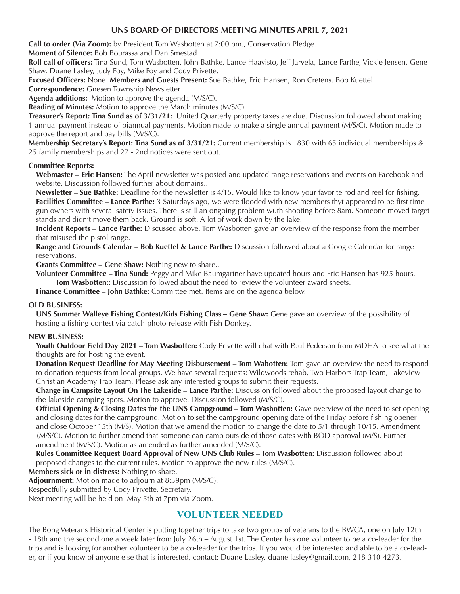### **UNS BOARD OF DIRECTORS MEETING MINUTES APRIL 7, 2021**

**Call to order (Via Zoom):** by President Tom Wasbotten at 7:00 pm., Conservation Pledge.

**Moment of Silence:** Bob Bourassa and Dan Smestad

**Roll call of officers:** Tina Sund, Tom Wasbotten, John Bathke, Lance Haavisto, Jeff Jarvela, Lance Parthe, Vickie Jensen, Gene Shaw, Duane Lasley, Judy Foy, Mike Foy and Cody Privette.

**Excused Officers:** None **Members and Guests Present:** Sue Bathke, Eric Hansen, Ron Cretens, Bob Kuettel.

**Correspondence:** Gnesen Township Newsletter

**Agenda additions:** Motion to approve the agenda (M/S/C).

**Reading of Minutes:** Motion to approve the March minutes (M/S/C).

**Treasurer's Report: Tina Sund as of 3/31/21:** United Quarterly property taxes are due. Discussion followed about making 1 annual payment instead of biannual payments. Motion made to make a single annual payment (M/S/C). Motion made to approve the report and pay bills (M/S/C).

**Membership Secretary's Report: Tina Sund as of 3/31/21:** Current membership is 1830 with 65 individual memberships & 25 family memberships and 27 - 2nd notices were sent out.

#### **Committee Reports:**

**Webmaster – Eric Hansen:** The April newsletter was posted and updated range reservations and events on Facebook and website. Discussion followed further about domains..

**Newsletter – Sue Bathke:** Deadline for the newsletter is 4/15. Would like to know your favorite rod and reel for fishing. **Facilities Committee – Lance Parthe:** 3 Saturdays ago, we were flooded with new members thyt appeared to be first time gun owners with several safety issues. There is still an ongoing problem wuth shooting before 8am. Someone moved target stands and didn't move them back. Ground is soft. A lot of work down by the lake.

**Incident Reports – Lance Parthe:** Discussed above. Tom Wasbotten gave an overview of the response from the member that misused the pistol range.

**Range and Grounds Calendar – Bob Kuettel & Lance Parthe:** Discussion followed about a Google Calendar for range reservations.

**Grants Committee – Gene Shaw:** Nothing new to share..

**Volunteer Committee – Tina Sund:** Peggy and Mike Baumgartner have updated hours and Eric Hansen has 925 hours. **Tom Wasbotten::** Discussion followed about the need to review the volunteer award sheets.

**Finance Committee – John Bathke:** Committee met. Items are on the agenda below.

#### **OLD BUSINESS:**

**UNS Summer Walleye Fishing Contest/Kids Fishing Class – Gene Shaw:** Gene gave an overview of the possibility of hosting a fishing contest via catch-photo-release with Fish Donkey.

#### **NEW BUSINESS:**

**Youth Outdoor Field Day 2021 – Tom Wasbotten:** Cody Privette will chat with Paul Pederson from MDHA to see what the thoughts are for hosting the event.

**Donation Request Deadline for May Meeting Disbursement – Tom Wabotten:** Tom gave an overview the need to respond to donation requests from local groups. We have several requests: Wildwoods rehab, Two Harbors Trap Team, Lakeview Christian Academy Trap Team. Please ask any interested groups to submit their requests.

**Change in Campsite Layout On The Lakeside – Lance Parthe:** Discussion followed about the proposed layout change to the lakeside camping spots. Motion to approve. Discussion followed (M/S/C).

**Official Opening & Closing Dates for the UNS Campground – Tom Wasbotten:** Gave overview of the need to set opening and closing dates for the campground. Motion to set the campground opening date of the Friday before fishing opener and close October 15th (M/S). Motion that we amend the motion to change the date to 5/1 through 10/15. Amendment (M/S/C). Motion to further amend that someone can camp outside of those dates with BOD approval (M/S). Further amendment (M/S/C). Motion as amended as further amended (M/S/C).

**Rules Committee Request Board Approval of New UNS Club Rules – Tom Wasbotten:** Discussion followed about proposed changes to the current rules. Motion to approve the new rules (M/S/C).

**Members sick or in distress:** Nothing to share.

**Adjournment:** Motion made to adjourn at 8:59pm (M/S/C).

Respectfully submitted by Cody Privette, Secretary.

Next meeting will be held on May 5th at 7pm via Zoom.

### **VOLUNTEER NEEDED**

The Bong Veterans Historical Center is putting together trips to take two groups of veterans to the BWCA, one on July 12th - 18th and the second one a week later from July 26th – August 1st. The Center has one volunteer to be a co-leader for the trips and is looking for another volunteer to be a co-leader for the trips. If you would be interested and able to be a co-leader, or if you know of anyone else that is interested, contact: Duane Lasley, duanellasley@gmail.com, 218-310-4273.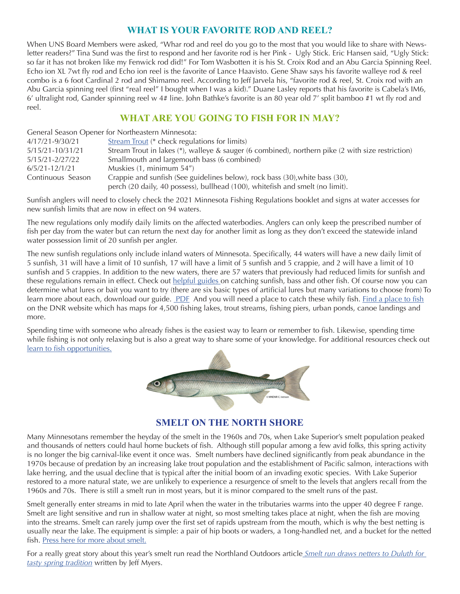# **WHAT IS YOUR FAVORITE ROD AND REEL?**

When UNS Board Members were asked, "Whar rod and reel do you go to the most that you would like to share with Newsletter readers?" Tina Sund was the first to respond and her favorite rod is her Pink - Ugly Stick. Eric Hansen said, "Ugly Stick: so far it has not broken like my Fenwick rod did!" For Tom Wasbotten it is his St. Croix Rod and an Abu Garcia Spinning Reel. Echo ion XL 7wt fly rod and Echo ion reel is the favorite of Lance Haavisto. Gene Shaw says his favorite walleye rod & reel combo is a 6 foot Cardinal 2 rod and Shimamo reel. According to Jeff Jarvela his, "favorite rod & reel, St. Croix rod with an Abu Garcia spinning reel (first "real reel" I bought when I was a kid)." Duane Lasley reports that his favorite is Cabela's IM6, 6' ultralight rod, Gander spinning reel w 4# line. John Bathke's favorite is an 80 year old 7' split bamboo #1 wt fly rod and reel.

# **WHAT ARE YOU GOING TO FISH FOR IN MAY?**

|                    | General Season Opener for Northeastern Minnesota:                                                 |
|--------------------|---------------------------------------------------------------------------------------------------|
| 4/17/21-9/30/21    | Stream Trout (* check regulations for limits)                                                     |
| 5/15/21-10/31/21   | Stream Trout in lakes (*), walleye & sauger (6 combined), northern pike (2 with size restriction) |
| 5/15/21-2/27/22    | Smallmouth and largemouth bass (6 combined)                                                       |
| $6/5/21 - 12/1/21$ | Muskies $(1.$ minimum $54$ ")                                                                     |
| Continuous Season  | Crappie and sunfish (See guidelines below), rock bass (30), white bass (30),                      |
|                    | perch (20 daily, 40 possess), bullhead (100), white fish and smelt (no limit).                    |

Sunfish anglers will need to closely check the 2021 Minnesota Fishing Regulations booklet and signs at water accesses for new sunfish limits that are now in effect on 94 waters.

The new regulations only modify daily limits on the affected waterbodies. Anglers can only keep the prescribed number of fish per day from the water but can return the next day for another limit as long as they don't exceed the statewide inland water possession limit of 20 sunfish per angler.

The new sunfish regulations only include inland waters of Minnesota. Specifically, 44 waters will have a new daily limit of 5 sunfish, 31 will have a limit of 10 sunfish, 17 will have a limit of 5 sunfish and 5 crappie, and 2 will have a limit of 10 sunfish and 5 crappies. In addition to the new waters, there are 57 waters that previously had reduced limits for sunfish and these regulations remain in effect. Check out [helpful guides](https://www.dnr.state.mn.us/gofishing/how-catch-fish.html) on catching sunfish, bass and other fish. Of course now you can determine what lures or bait you want to try (there are six basic types of artificial lures but many variations to choose from) To learn more about each, download our guide. [PDF](https://files.dnr.state.mn.us/education_safety/education/minnaqua/pier_notes/rods_and_reels.pdf) And you will need a place to catch these whily fish. [Find a place to fish](https://www.dnr.state.mn.us/gofishing/where-fish.html) on the DNR website which has maps for 4,500 fishing lakes, trout streams, fishing piers, urban ponds, canoe landings and more.

Spending time with someone who already fishes is the easiest way to learn or remember to fish. Likewise, spending time while fishing is not only relaxing but is also a great way to share some of your knowledge. For additional resources check out [learn to fish opportunities.](https://www.dnr.state.mn.us/gofishing/learn-fish.html)



## **SMELT ON THE NORTH SHORE**

Many Minnesotans remember the heyday of the smelt in the 1960s and 70s, when Lake Superior's smelt population peaked and thousands of netters could haul home buckets of fish. Although still popular among a few avid folks, this spring activity is no longer the big carnival-like event it once was. Smelt numbers have declined significantly from peak abundance in the 1970s because of predation by an increasing lake trout population and the establishment of Pacific salmon, interactions with lake herring, and the usual decline that is typical after the initial boom of an invading exotic species. With Lake Superior restored to a more natural state, we are unlikely to experience a resurgence of smelt to the levels that anglers recall from the 1960s and 70s. There is still a smelt run in most years, but it is minor compared to the smelt runs of the past.

Smelt generally enter streams in mid to late April when the water in the tributaries warms into the upper 40 degree F range. Smelt are light sensitive and run in shallow water at night, so most smelting takes place at night, when the fish are moving into the streams. Smelt can rarely jump over the first set of rapids upstream from the mouth, which is why the best netting is usually near the lake. The equipment is simple: a pair of hip boots or waders, a 1ong-handled net, and a bucket for the netted fish. [Press here for more about smelt.](https://www.dnr.state.mn.us/areas/fisheries/lakesuperior/smelt.html)

For a really great story about this year's smelt run read the Northland Outdoors article *[Smelt run draws netters to Duluth for](https://www.duluthnewstribune.com/northland-outdoors/6990282-Smelt-run-draws-netters-to-Duluth-for-tasty-spring-tradition?utm_medium=email&utm_source=newsletter&utm_campaign=northland)  [tasty spring tradition](https://www.duluthnewstribune.com/northland-outdoors/6990282-Smelt-run-draws-netters-to-Duluth-for-tasty-spring-tradition?utm_medium=email&utm_source=newsletter&utm_campaign=northland)* written by Jeff Myers.